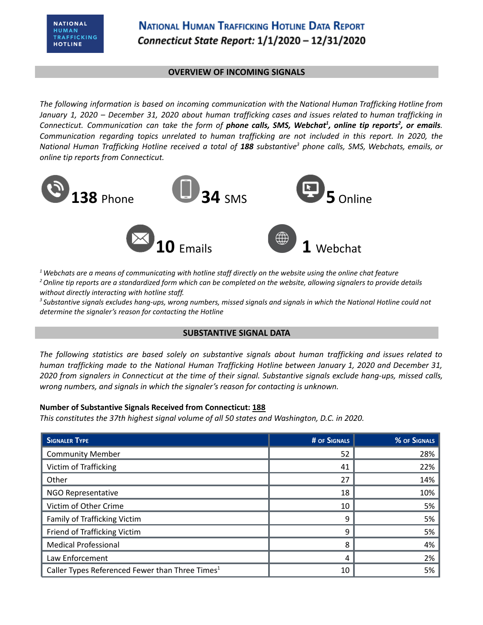#### **OVERVIEW OF INCOMING SIGNALS**

*The following information is based on incoming communication with the National Human Trafficking Hotline from* January 1, 2020 - December 31, 2020 about human trafficking cases and issues related to human trafficking in Connecticut. Communication can take the form of phone calls, SMS, Webchat<sup>1</sup>, online tip reports<sup>2</sup>, or emails. *Communication regarding topics unrelated to human trafficking are not included in this report. In 2020, the* National Human Trafficking Hotline received a total of 188 substantive<sup>3</sup> phone calls, SMS, Webchats, emails, or *online tip reports from Connecticut.*



 $1$  Webchats are a means of communicating with hotline staff directly on the website using the online chat feature <sup>2</sup> Online tip reports are a standardized form which can be completed on the website, allowing signalers to provide details *without directly interacting with hotline staff.*

<sup>3</sup> Substantive signals excludes hang-ups, wrong numbers, missed signals and signals in which the National Hotline could not *determine the signaler's reason for contacting the Hotline*

## **SUBSTANTIVE SIGNAL DATA**

*The following statistics are based solely on substantive signals about human trafficking and issues related to human trafficking made to the National Human Trafficking Hotline between January 1, 2020 and December 31,* 2020 from signalers in Connecticut at the time of their signal. Substantive signals exclude hang-ups, missed calls, *wrong numbers, and signals in which the signaler's reason for contacting is unknown.*

## **Number of Substantive Signals Received from Connecticut: 188**

*This constitutes the 37th highest signal volume of all 50 states and Washington, D.C. in 2020.*

| <b>SIGNALER TYPE</b>                                        | <b># OF SIGNALS</b> | % OF SIGNALS |
|-------------------------------------------------------------|---------------------|--------------|
| <b>Community Member</b>                                     | 52                  | 28%          |
| Victim of Trafficking                                       | 41                  | 22%          |
| Other                                                       | 27                  | 14%          |
| <b>NGO Representative</b>                                   | 18                  | 10%          |
| Victim of Other Crime                                       | 10                  | 5%           |
| Family of Trafficking Victim                                | 9                   | 5%           |
| Friend of Trafficking Victim                                | q                   | 5%           |
| <b>Medical Professional</b>                                 | 8                   | 4%           |
| Law Enforcement                                             | 4                   | 2%           |
| Caller Types Referenced Fewer than Three Times <sup>1</sup> | 10                  | 5%           |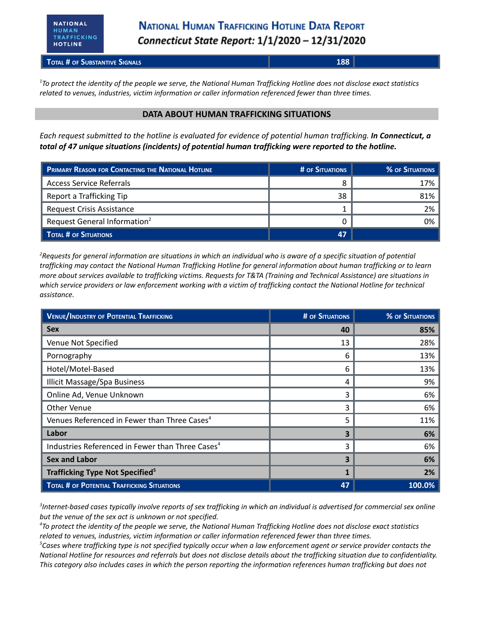**TOTAL # OF SUBSTANTIVE SIGNALS 188**

<sup>1</sup>To protect the identity of the people we serve, the National Human Trafficking Hotline does not disclose exact statistics *related to venues, industries, victim information or caller information referenced fewer than three times.*

#### **DATA ABOUT HUMAN TRAFFICKING SITUATIONS**

Each request submitted to the hotline is evaluated for evidence of potential human trafficking. In Connecticut, a *total of 47 unique situations (incidents) of potential human trafficking were reported to the hotline.*

| <b>PRIMARY REASON FOR CONTACTING THE NATIONAL HOTLINE</b> | # OF SITUATIONS | % OF SITUATIONS |
|-----------------------------------------------------------|-----------------|-----------------|
| <b>Access Service Referrals</b>                           |                 | 17%             |
| Report a Trafficking Tip                                  | 38              | 81%             |
| Request Crisis Assistance                                 |                 | 2%              |
| Request General Information <sup>2</sup>                  |                 | 0%              |
| <b>TOTAL # OF SITUATIONS</b>                              | <b>47</b>       |                 |

 ${}^{2}$ Requests for general information are situations in which an individual who is aware of a specific situation of potential trafficking may contact the National Human Trafficking Hotline for general information about human trafficking or to learn more about services available to trafficking victims. Requests for T&TA (Training and Technical Assistance) are situations in which service providers or law enforcement working with a victim of trafficking contact the National Hotline for technical *assistance.*

| <b>VENUE/INDUSTRY OF POTENTIAL TRAFFICKING</b>               | <b># OF SITUATIONS</b> | % OF SITUATIONS |
|--------------------------------------------------------------|------------------------|-----------------|
| <b>Sex</b>                                                   | 40                     | 85%             |
| Venue Not Specified                                          | 13                     | 28%             |
| Pornography                                                  | 6                      | 13%             |
| Hotel/Motel-Based                                            | 6                      | 13%             |
| <b>Illicit Massage/Spa Business</b>                          | 4                      | 9%              |
| Online Ad, Venue Unknown                                     | 3                      | 6%              |
| <b>Other Venue</b>                                           | 3                      | 6%              |
| Venues Referenced in Fewer than Three Cases <sup>4</sup>     | 5                      | 11%             |
| Labor                                                        | 3                      | 6%              |
| Industries Referenced in Fewer than Three Cases <sup>4</sup> | 3                      | 6%              |
| <b>Sex and Labor</b>                                         | 3                      | 6%              |
| Trafficking Type Not Specified <sup>5</sup>                  |                        | 2%              |
| <b>TOTAL # OF POTENTIAL TRAFFICKING SITUATIONS</b>           | 47                     | 100.0%          |

 ${}^{3}$ Internet-based cases typically involve reports of sex trafficking in which an individual is advertised for commercial sex online *but the venue of the sex act is unknown or not specified.*

<sup>4</sup>To protect the identity of the people we serve, the National Human Trafficking Hotline does not disclose exact statistics *related to venues, industries, victim information or caller information referenced fewer than three times.*

 ${}^5$ Cases where trafficking type is not specified typically occur when a law enforcement agent or service provider contacts the National Hotline for resources and referrals but does not disclose details about the trafficking situation due to confidentiality. This category also includes cases in which the person reporting the information references human trafficking but does not